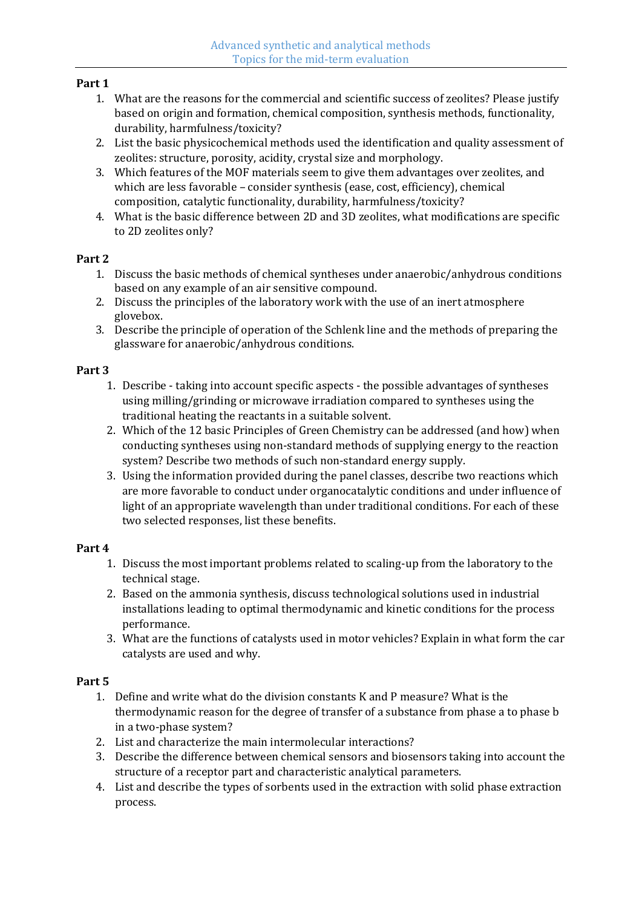#### **Part 1**

- 1. What are the reasons for the commercial and scientific success of zeolites? Please justify based on origin and formation, chemical composition, synthesis methods, functionality, durability, harmfulness/toxicity?
- 2. List the basic physicochemical methods used the identification and quality assessment of zeolites: structure, porosity, acidity, crystal size and morphology.
- 3. Which features of the MOF materials seem to give them advantages over zeolites, and which are less favorable – consider synthesis (ease, cost, efficiency), chemical composition, catalytic functionality, durability, harmfulness/toxicity?
- 4. What is the basic difference between 2D and 3D zeolites, what modifications are specific to 2D zeolites only?

## **Part 2**

- 1. Discuss the basic methods of chemical syntheses under anaerobic/anhydrous conditions based on any example of an air sensitive compound.
- 2. Discuss the principles of the laboratory work with the use of an inert atmosphere glovebox.
- 3. Describe the principle of operation of the Schlenk line and the methods of preparing the glassware for anaerobic/anhydrous conditions.

## **Part 3**

- 1. Describe taking into account specific aspects the possible advantages of syntheses using milling/grinding or microwave irradiation compared to syntheses using the traditional heating the reactants in a suitable solvent.
- 2. Which of the 12 basic Principles of Green Chemistry can be addressed (and how) when conducting syntheses using non-standard methods of supplying energy to the reaction system? Describe two methods of such non-standard energy supply.
- 3. Using the information provided during the panel classes, describe two reactions which are more favorable to conduct under organocatalytic conditions and under influence of light of an appropriate wavelength than under traditional conditions. For each of these two selected responses, list these benefits.

# **Part 4**

- 1. Discuss the most important problems related to scaling-up from the laboratory to the technical stage.
- 2. Based on the ammonia synthesis, discuss technological solutions used in industrial installations leading to optimal thermodynamic and kinetic conditions for the process performance.
- 3. What are the functions of catalysts used in motor vehicles? Explain in what form the car catalysts are used and why.

#### **Part 5**

- 1. Define and write what do the division constants K and P measure? What is the thermodynamic reason for the degree of transfer of a substance from phase a to phase b in a two-phase system?
- 2. List and characterize the main intermolecular interactions?
- 3. Describe the difference between chemical sensors and biosensors taking into account the structure of a receptor part and characteristic analytical parameters.
- 4. List and describe the types of sorbents used in the extraction with solid phase extraction process.